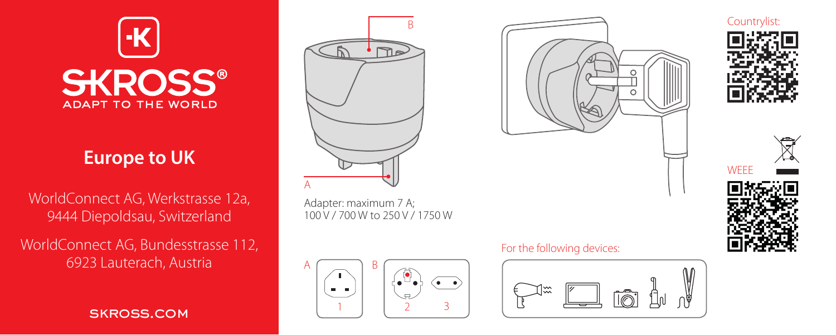

# **Europe to UK**

WorldConnect AG, Werkstrasse 12a, 9444 Diepoldsau, Switzerland

WorldConnect AG, Bundesstrasse 112, 6923 Lauterach, Austria

skross.com



Adapter: maximum 7 A; 100 V / 700 W to 250 V / 1750 W







Countrylist:



## For the following devices: